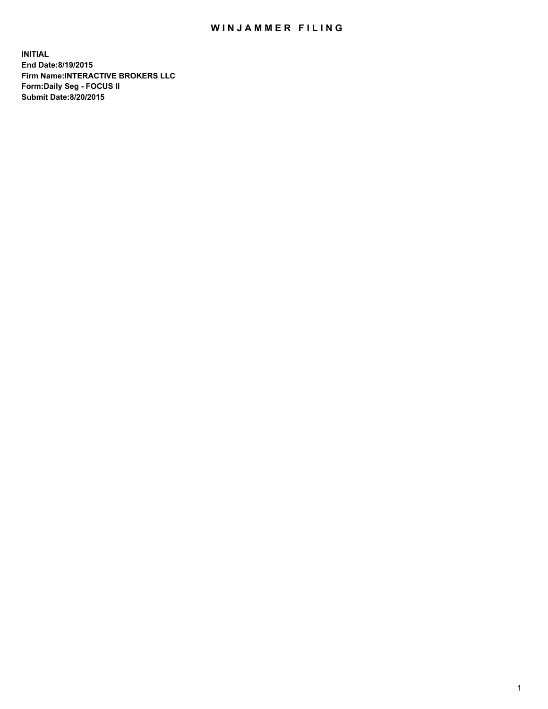## WIN JAMMER FILING

**INITIAL End Date:8/19/2015 Firm Name:INTERACTIVE BROKERS LLC Form:Daily Seg - FOCUS II Submit Date:8/20/2015**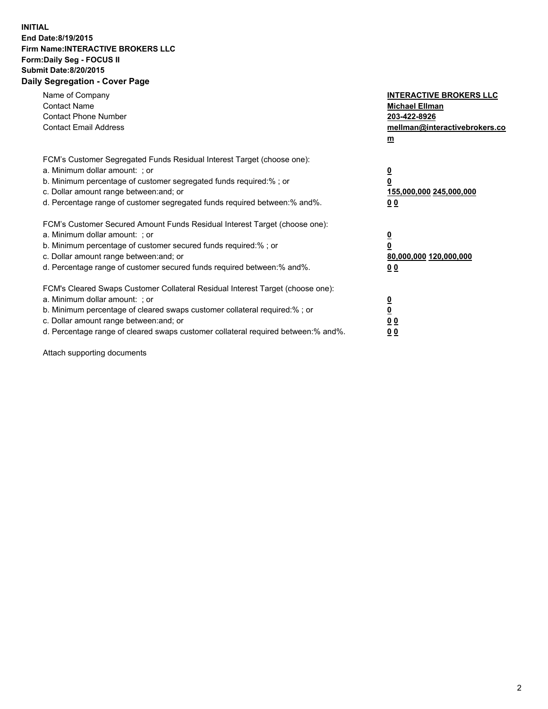## **INITIAL End Date:8/19/2015 Firm Name:INTERACTIVE BROKERS LLC Form:Daily Seg - FOCUS II Submit Date:8/20/2015 Daily Segregation - Cover Page**

| Name of Company<br><b>Contact Name</b><br><b>Contact Phone Number</b><br><b>Contact Email Address</b>                                                                                                                                                                                                                          | <b>INTERACTIVE BROKERS LLC</b><br><b>Michael Ellman</b><br>203-422-8926<br>mellman@interactivebrokers.co<br>$\underline{\mathbf{m}}$ |
|--------------------------------------------------------------------------------------------------------------------------------------------------------------------------------------------------------------------------------------------------------------------------------------------------------------------------------|--------------------------------------------------------------------------------------------------------------------------------------|
| FCM's Customer Segregated Funds Residual Interest Target (choose one):<br>a. Minimum dollar amount: ; or<br>b. Minimum percentage of customer segregated funds required:%; or<br>c. Dollar amount range between: and; or<br>d. Percentage range of customer segregated funds required between:% and%.                          | $\overline{\mathbf{0}}$<br>$\overline{\mathbf{0}}$<br>155,000,000 245,000,000<br>0 <sub>0</sub>                                      |
| FCM's Customer Secured Amount Funds Residual Interest Target (choose one):<br>a. Minimum dollar amount: ; or<br>b. Minimum percentage of customer secured funds required:%; or<br>c. Dollar amount range between: and; or<br>d. Percentage range of customer secured funds required between: % and %.                          | $\overline{\mathbf{0}}$<br>$\overline{\mathbf{0}}$<br>80,000,000 120,000,000<br>0 <sub>0</sub>                                       |
| FCM's Cleared Swaps Customer Collateral Residual Interest Target (choose one):<br>a. Minimum dollar amount: ; or<br>b. Minimum percentage of cleared swaps customer collateral required:% ; or<br>c. Dollar amount range between: and; or<br>d. Percentage range of cleared swaps customer collateral required between:% and%. | $\overline{\mathbf{0}}$<br>$\underline{\mathbf{0}}$<br>0 <sub>0</sub><br>0 <sup>0</sup>                                              |

Attach supporting documents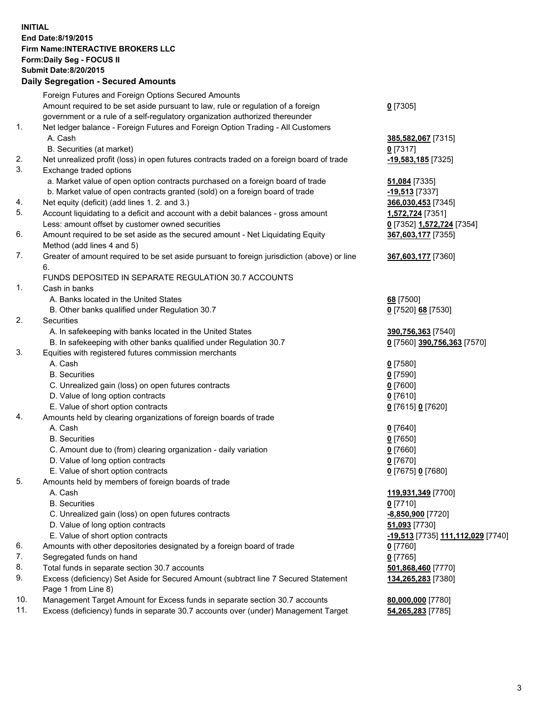## **INITIAL End Date:8/19/2015 Firm Name:INTERACTIVE BROKERS LLC Form:Daily Seg - FOCUS II Submit Date:8/20/2015 Daily Segregation - Secured Amounts**

|     | Daily Ocglegation - Occarea Anioants                                                        |                                   |
|-----|---------------------------------------------------------------------------------------------|-----------------------------------|
|     | Foreign Futures and Foreign Options Secured Amounts                                         |                                   |
|     | Amount required to be set aside pursuant to law, rule or regulation of a foreign            | $0$ [7305]                        |
|     | government or a rule of a self-regulatory organization authorized thereunder                |                                   |
| 1.  | Net ledger balance - Foreign Futures and Foreign Option Trading - All Customers             |                                   |
|     | A. Cash                                                                                     | 385,582,067 [7315]                |
|     | B. Securities (at market)                                                                   | $0$ [7317]                        |
| 2.  | Net unrealized profit (loss) in open futures contracts traded on a foreign board of trade   | $-19,583,185$ [7325]              |
| 3.  | Exchange traded options                                                                     |                                   |
|     | a. Market value of open option contracts purchased on a foreign board of trade              | <b>51,084</b> [7335]              |
|     | b. Market value of open contracts granted (sold) on a foreign board of trade                | $-19,513$ [7337]                  |
| 4.  | Net equity (deficit) (add lines 1.2. and 3.)                                                | 366,030,453 [7345]                |
| 5.  | Account liquidating to a deficit and account with a debit balances - gross amount           | 1,572,724 [7351]                  |
|     | Less: amount offset by customer owned securities                                            | 0 [7352] 1,572,724 [7354]         |
| 6.  | Amount required to be set aside as the secured amount - Net Liquidating Equity              | 367,603,177 [7355]                |
|     | Method (add lines 4 and 5)                                                                  |                                   |
| 7.  | Greater of amount required to be set aside pursuant to foreign jurisdiction (above) or line | 367,603,177 [7360]                |
|     | 6.                                                                                          |                                   |
|     | FUNDS DEPOSITED IN SEPARATE REGULATION 30.7 ACCOUNTS                                        |                                   |
| 1.  | Cash in banks                                                                               |                                   |
|     | A. Banks located in the United States                                                       | 68 [7500]                         |
|     | B. Other banks qualified under Regulation 30.7                                              | 0 [7520] 68 [7530]                |
| 2.  | Securities                                                                                  |                                   |
|     | A. In safekeeping with banks located in the United States                                   | 390,756,363 [7540]                |
|     | B. In safekeeping with other banks qualified under Regulation 30.7                          | 0 [7560] 390,756,363 [7570]       |
| 3.  | Equities with registered futures commission merchants                                       |                                   |
|     | A. Cash                                                                                     | $0$ [7580]                        |
|     | <b>B.</b> Securities                                                                        | $0$ [7590]                        |
|     | C. Unrealized gain (loss) on open futures contracts                                         | $0$ [7600]                        |
|     | D. Value of long option contracts                                                           | $0$ [7610]                        |
|     | E. Value of short option contracts                                                          | 0 [7615] 0 [7620]                 |
| 4.  | Amounts held by clearing organizations of foreign boards of trade                           |                                   |
|     | A. Cash                                                                                     | $0$ [7640]                        |
|     | <b>B.</b> Securities                                                                        | $0$ [7650]                        |
|     | C. Amount due to (from) clearing organization - daily variation                             | $0$ [7660]                        |
|     | D. Value of long option contracts                                                           | $0$ [7670]                        |
|     | E. Value of short option contracts                                                          | 0 [7675] 0 [7680]                 |
| 5.  | Amounts held by members of foreign boards of trade                                          |                                   |
|     | A. Cash                                                                                     | 119,931,349 [7700]                |
|     | <b>B.</b> Securities                                                                        | $0$ [7710]                        |
|     | C. Unrealized gain (loss) on open futures contracts                                         | -8,850,900 [7720]                 |
|     | D. Value of long option contracts                                                           | 51,093 [7730]                     |
|     | E. Value of short option contracts                                                          | -19,513 [7735] 111,112,029 [7740] |
| 6.  | Amounts with other depositories designated by a foreign board of trade                      | 0 [7760]                          |
| 7.  | Segregated funds on hand                                                                    | $0$ [7765]                        |
| 8.  | Total funds in separate section 30.7 accounts                                               | 501,868,460 [7770]                |
| 9.  | Excess (deficiency) Set Aside for Secured Amount (subtract line 7 Secured Statement         | 134,265,283 [7380]                |
|     | Page 1 from Line 8)                                                                         |                                   |
| 10. | Management Target Amount for Excess funds in separate section 30.7 accounts                 | 80,000,000 [7780]                 |
| 11. | Excess (deficiency) funds in separate 30.7 accounts over (under) Management Target          | 54,265,283 [7785]                 |
|     |                                                                                             |                                   |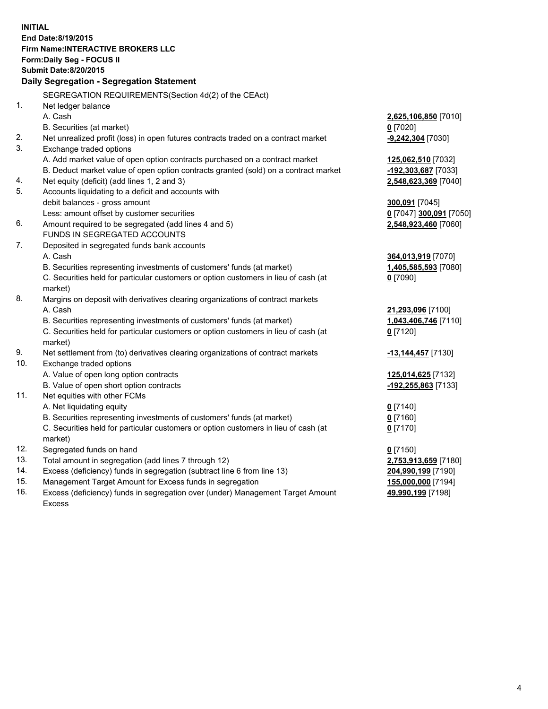**INITIAL End Date:8/19/2015 Firm Name:INTERACTIVE BROKERS LLC Form:Daily Seg - FOCUS II Submit Date:8/20/2015 Daily Segregation - Segregation Statement** SEGREGATION REQUIREMENTS(Section 4d(2) of the CEAct) 1. Net ledger balance A. Cash **2,625,106,850** [7010] B. Securities (at market) **0** [7020] 2. Net unrealized profit (loss) in open futures contracts traded on a contract market **-9,242,304** [7030] 3. Exchange traded options A. Add market value of open option contracts purchased on a contract market **125,062,510** [7032] B. Deduct market value of open option contracts granted (sold) on a contract market **-192,303,687** [7033] 4. Net equity (deficit) (add lines 1, 2 and 3) **2,548,623,369** [7040] 5. Accounts liquidating to a deficit and accounts with debit balances - gross amount **300,091** [7045] Less: amount offset by customer securities **0** [7047] **300,091** [7050] 6. Amount required to be segregated (add lines 4 and 5) **2,548,923,460** [7060] FUNDS IN SEGREGATED ACCOUNTS 7. Deposited in segregated funds bank accounts A. Cash **364,013,919** [7070] B. Securities representing investments of customers' funds (at market) **1,405,585,593** [7080] C. Securities held for particular customers or option customers in lieu of cash (at market) **0** [7090] 8. Margins on deposit with derivatives clearing organizations of contract markets A. Cash **21,293,096** [7100] B. Securities representing investments of customers' funds (at market) **1,043,406,746** [7110] C. Securities held for particular customers or option customers in lieu of cash (at market) **0** [7120] 9. Net settlement from (to) derivatives clearing organizations of contract markets **-13,144,457** [7130] 10. Exchange traded options A. Value of open long option contracts **125,014,625** [7132] B. Value of open short option contracts **-192,255,863** [7133] 11. Net equities with other FCMs A. Net liquidating equity **0** [7140] B. Securities representing investments of customers' funds (at market) **0** [7160] C. Securities held for particular customers or option customers in lieu of cash (at market) **0** [7170] 12. Segregated funds on hand **0** [7150] 13. Total amount in segregation (add lines 7 through 12) **2,753,913,659** [7180] 14. Excess (deficiency) funds in segregation (subtract line 6 from line 13) **204,990,199** [7190] 15. Management Target Amount for Excess funds in segregation **155,000,000** [7194] **49,990,199** [7198]

16. Excess (deficiency) funds in segregation over (under) Management Target Amount Excess